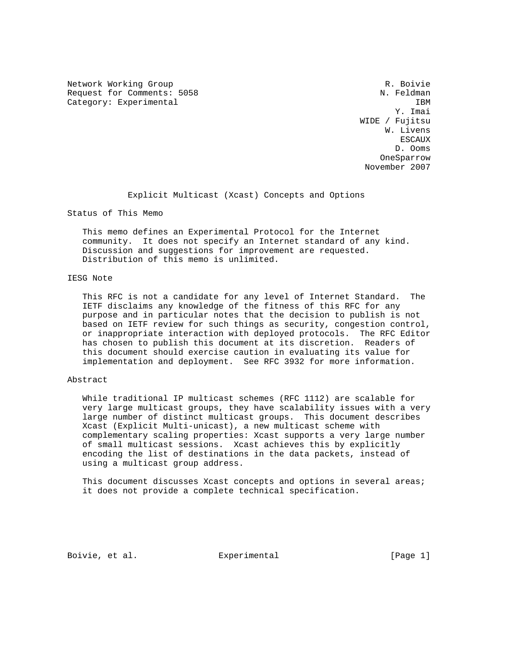Network Working Group and the set of the set of the R. Boivie Request for Comments: 5058 N. Feldman Category: Experimental IBM<br>
IBM<br>
Y. Imai

 Y. Imai WIDE / Fujitsu W. Livens escaux de la construction de la construction de la construction de la construction de la construction de la co D. Ooms OneSparrow November 2007

Explicit Multicast (Xcast) Concepts and Options

Status of This Memo

 This memo defines an Experimental Protocol for the Internet community. It does not specify an Internet standard of any kind. Discussion and suggestions for improvement are requested. Distribution of this memo is unlimited.

### IESG Note

 This RFC is not a candidate for any level of Internet Standard. The IETF disclaims any knowledge of the fitness of this RFC for any purpose and in particular notes that the decision to publish is not based on IETF review for such things as security, congestion control, or inappropriate interaction with deployed protocols. The RFC Editor has chosen to publish this document at its discretion. Readers of this document should exercise caution in evaluating its value for implementation and deployment. See RFC 3932 for more information.

### Abstract

 While traditional IP multicast schemes (RFC 1112) are scalable for very large multicast groups, they have scalability issues with a very large number of distinct multicast groups. This document describes Xcast (Explicit Multi-unicast), a new multicast scheme with complementary scaling properties: Xcast supports a very large number of small multicast sessions. Xcast achieves this by explicitly encoding the list of destinations in the data packets, instead of using a multicast group address.

 This document discusses Xcast concepts and options in several areas; it does not provide a complete technical specification.

Boivie, et al.  $\Box$  Experimental  $\Box$  [Page 1]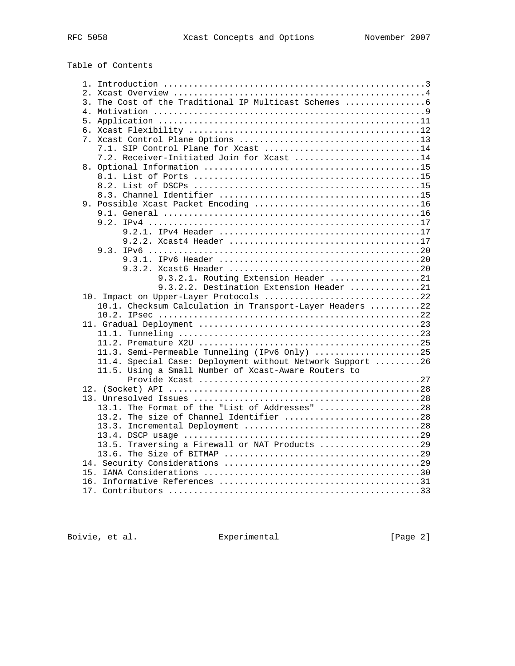# Table of Contents

| 3. The Cost of the Traditional IP Multicast Schemes       |  |
|-----------------------------------------------------------|--|
|                                                           |  |
|                                                           |  |
|                                                           |  |
|                                                           |  |
| 7.1. SIP Control Plane for Xcast 14                       |  |
| 7.2. Receiver-Initiated Join for Xcast 14                 |  |
|                                                           |  |
|                                                           |  |
|                                                           |  |
|                                                           |  |
|                                                           |  |
|                                                           |  |
|                                                           |  |
|                                                           |  |
|                                                           |  |
|                                                           |  |
|                                                           |  |
|                                                           |  |
|                                                           |  |
| 9.3.2.1. Routing Extension Header 21                      |  |
| 9.3.2.2. Destination Extension Header 21                  |  |
| 10. Impact on Upper-Layer Protocols 22                    |  |
| 10.1. Checksum Calculation in Transport-Layer Headers 22  |  |
|                                                           |  |
|                                                           |  |
|                                                           |  |
|                                                           |  |
| 11.3. Semi-Permeable Tunneling (IPv6 Only) 25             |  |
| 11.4. Special Case: Deployment without Network Support 26 |  |
| 11.5. Using a Small Number of Xcast-Aware Routers to      |  |
|                                                           |  |
|                                                           |  |
|                                                           |  |
| 13.1. The Format of the "List of Addresses" 28            |  |
| 13.2. The size of Channel Identifier 28                   |  |
|                                                           |  |
|                                                           |  |
| 13.5. Traversing a Firewall or NAT Products 29            |  |
|                                                           |  |
|                                                           |  |
|                                                           |  |
|                                                           |  |
|                                                           |  |

Boivie, et al. **Experimental** [Page 2]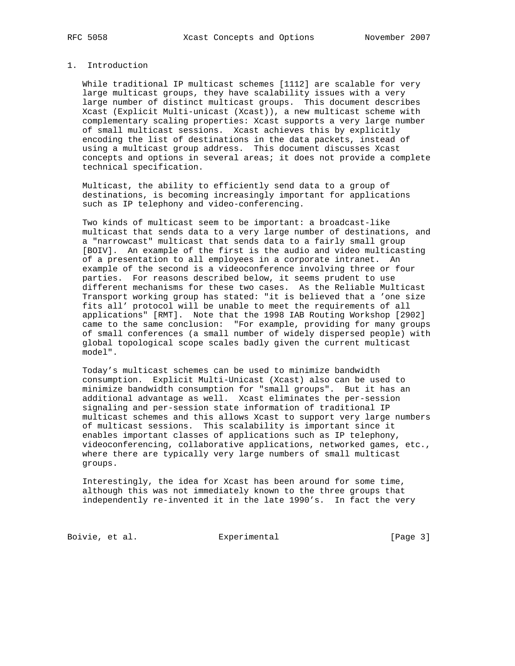# 1. Introduction

 While traditional IP multicast schemes [1112] are scalable for very large multicast groups, they have scalability issues with a very large number of distinct multicast groups. This document describes Xcast (Explicit Multi-unicast (Xcast)), a new multicast scheme with complementary scaling properties: Xcast supports a very large number of small multicast sessions. Xcast achieves this by explicitly encoding the list of destinations in the data packets, instead of using a multicast group address. This document discusses Xcast concepts and options in several areas; it does not provide a complete technical specification.

 Multicast, the ability to efficiently send data to a group of destinations, is becoming increasingly important for applications such as IP telephony and video-conferencing.

 Two kinds of multicast seem to be important: a broadcast-like multicast that sends data to a very large number of destinations, and a "narrowcast" multicast that sends data to a fairly small group [BOIV]. An example of the first is the audio and video multicasting of a presentation to all employees in a corporate intranet. An example of the second is a videoconference involving three or four parties. For reasons described below, it seems prudent to use different mechanisms for these two cases. As the Reliable Multicast Transport working group has stated: "it is believed that a 'one size fits all' protocol will be unable to meet the requirements of all applications" [RMT]. Note that the 1998 IAB Routing Workshop [2902] came to the same conclusion: "For example, providing for many groups of small conferences (a small number of widely dispersed people) with global topological scope scales badly given the current multicast model".

 Today's multicast schemes can be used to minimize bandwidth consumption. Explicit Multi-Unicast (Xcast) also can be used to minimize bandwidth consumption for "small groups". But it has an additional advantage as well. Xcast eliminates the per-session signaling and per-session state information of traditional IP multicast schemes and this allows Xcast to support very large numbers of multicast sessions. This scalability is important since it enables important classes of applications such as IP telephony, videoconferencing, collaborative applications, networked games, etc., where there are typically very large numbers of small multicast groups.

 Interestingly, the idea for Xcast has been around for some time, although this was not immediately known to the three groups that independently re-invented it in the late 1990's. In fact the very

Boivie, et al. Subsection Experimental Experimental [Page 3]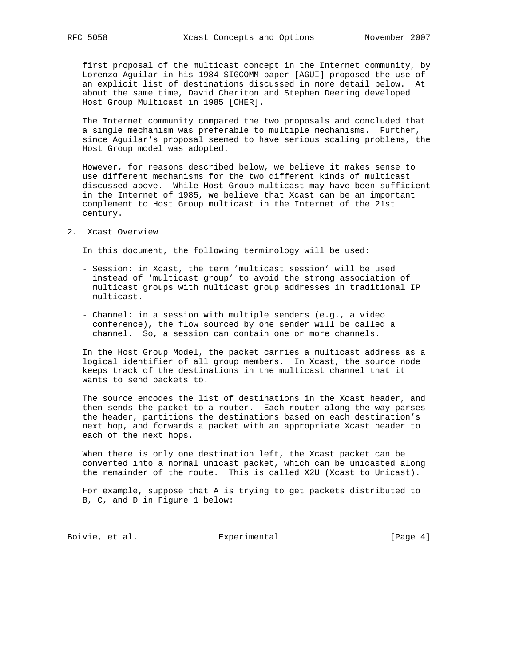first proposal of the multicast concept in the Internet community, by Lorenzo Aguilar in his 1984 SIGCOMM paper [AGUI] proposed the use of an explicit list of destinations discussed in more detail below. At about the same time, David Cheriton and Stephen Deering developed Host Group Multicast in 1985 [CHER].

 The Internet community compared the two proposals and concluded that a single mechanism was preferable to multiple mechanisms. Further, since Aguilar's proposal seemed to have serious scaling problems, the Host Group model was adopted.

 However, for reasons described below, we believe it makes sense to use different mechanisms for the two different kinds of multicast discussed above. While Host Group multicast may have been sufficient in the Internet of 1985, we believe that Xcast can be an important complement to Host Group multicast in the Internet of the 21st century.

2. Xcast Overview

In this document, the following terminology will be used:

- Session: in Xcast, the term 'multicast session' will be used instead of 'multicast group' to avoid the strong association of multicast groups with multicast group addresses in traditional IP multicast.
- Channel: in a session with multiple senders (e.g., a video conference), the flow sourced by one sender will be called a channel. So, a session can contain one or more channels.

 In the Host Group Model, the packet carries a multicast address as a logical identifier of all group members. In Xcast, the source node keeps track of the destinations in the multicast channel that it wants to send packets to.

 The source encodes the list of destinations in the Xcast header, and then sends the packet to a router. Each router along the way parses the header, partitions the destinations based on each destination's next hop, and forwards a packet with an appropriate Xcast header to each of the next hops.

 When there is only one destination left, the Xcast packet can be converted into a normal unicast packet, which can be unicasted along the remainder of the route. This is called X2U (Xcast to Unicast).

 For example, suppose that A is trying to get packets distributed to B, C, and D in Figure 1 below:

Boivie, et al. <br>Experimental [Page 4]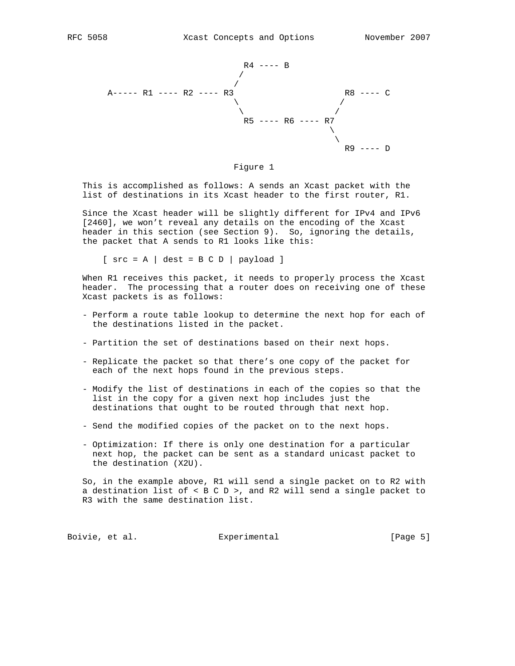



 This is accomplished as follows: A sends an Xcast packet with the list of destinations in its Xcast header to the first router, R1.

 Since the Xcast header will be slightly different for IPv4 and IPv6 [2460], we won't reveal any details on the encoding of the Xcast header in this section (see Section 9). So, ignoring the details, the packet that A sends to R1 looks like this:

 $[src = A \mid dest = B C D \mid payload]$ 

 When R1 receives this packet, it needs to properly process the Xcast header. The processing that a router does on receiving one of these Xcast packets is as follows:

- Perform a route table lookup to determine the next hop for each of the destinations listed in the packet.
- Partition the set of destinations based on their next hops.
- Replicate the packet so that there's one copy of the packet for each of the next hops found in the previous steps.
- Modify the list of destinations in each of the copies so that the list in the copy for a given next hop includes just the destinations that ought to be routed through that next hop.
- Send the modified copies of the packet on to the next hops.
- Optimization: If there is only one destination for a particular next hop, the packet can be sent as a standard unicast packet to the destination (X2U).

 So, in the example above, R1 will send a single packet on to R2 with a destination list of < B C D >, and R2 will send a single packet to R3 with the same destination list.

Boivie, et al. Subsectiment Experimental Frage 5]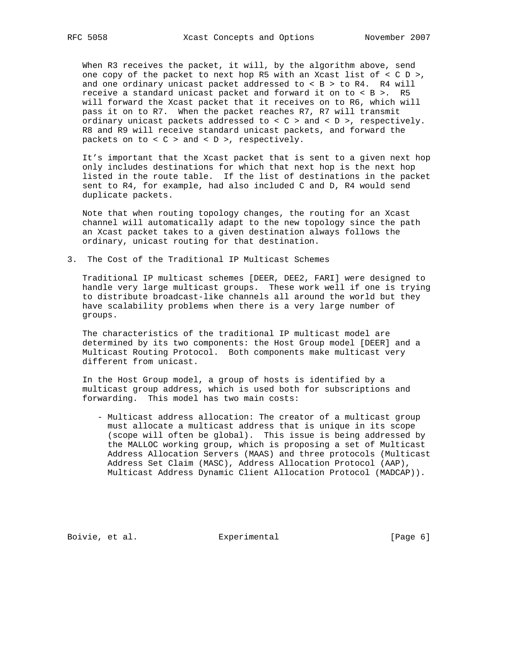When R3 receives the packet, it will, by the algorithm above, send one copy of the packet to next hop R5 with an Xcast list of  $\langle C D \rangle$ , and one ordinary unicast packet addressed to  $<$  B > to R4. R4 will receive a standard unicast packet and forward it on to < B >. R5 will forward the Xcast packet that it receives on to R6, which will pass it on to R7. When the packet reaches R7, R7 will transmit ordinary unicast packets addressed to  $\langle C \rangle$  and  $\langle D \rangle$ , respectively. R8 and R9 will receive standard unicast packets, and forward the packets on to  $< C$  > and  $< D$  >, respectively.

 It's important that the Xcast packet that is sent to a given next hop only includes destinations for which that next hop is the next hop listed in the route table. If the list of destinations in the packet sent to R4, for example, had also included C and D, R4 would send duplicate packets.

 Note that when routing topology changes, the routing for an Xcast channel will automatically adapt to the new topology since the path an Xcast packet takes to a given destination always follows the ordinary, unicast routing for that destination.

3. The Cost of the Traditional IP Multicast Schemes

 Traditional IP multicast schemes [DEER, DEE2, FARI] were designed to handle very large multicast groups. These work well if one is trying to distribute broadcast-like channels all around the world but they have scalability problems when there is a very large number of groups.

 The characteristics of the traditional IP multicast model are determined by its two components: the Host Group model [DEER] and a Multicast Routing Protocol. Both components make multicast very different from unicast.

 In the Host Group model, a group of hosts is identified by a multicast group address, which is used both for subscriptions and forwarding. This model has two main costs:

 - Multicast address allocation: The creator of a multicast group must allocate a multicast address that is unique in its scope (scope will often be global). This issue is being addressed by the MALLOC working group, which is proposing a set of Multicast Address Allocation Servers (MAAS) and three protocols (Multicast Address Set Claim (MASC), Address Allocation Protocol (AAP), Multicast Address Dynamic Client Allocation Protocol (MADCAP)).

Boivie, et al. <br>Experimental [Page 6]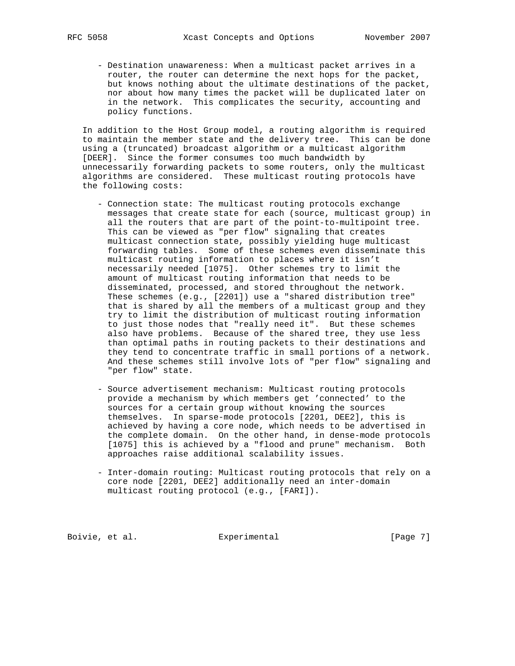- Destination unawareness: When a multicast packet arrives in a router, the router can determine the next hops for the packet, but knows nothing about the ultimate destinations of the packet, nor about how many times the packet will be duplicated later on in the network. This complicates the security, accounting and policy functions.

 In addition to the Host Group model, a routing algorithm is required to maintain the member state and the delivery tree. This can be done using a (truncated) broadcast algorithm or a multicast algorithm [DEER]. Since the former consumes too much bandwidth by unnecessarily forwarding packets to some routers, only the multicast algorithms are considered. These multicast routing protocols have the following costs:

- Connection state: The multicast routing protocols exchange messages that create state for each (source, multicast group) in all the routers that are part of the point-to-multipoint tree. This can be viewed as "per flow" signaling that creates multicast connection state, possibly yielding huge multicast forwarding tables. Some of these schemes even disseminate this multicast routing information to places where it isn't necessarily needed [1075]. Other schemes try to limit the amount of multicast routing information that needs to be disseminated, processed, and stored throughout the network. These schemes (e.g., [2201]) use a "shared distribution tree" that is shared by all the members of a multicast group and they try to limit the distribution of multicast routing information to just those nodes that "really need it". But these schemes also have problems. Because of the shared tree, they use less than optimal paths in routing packets to their destinations and they tend to concentrate traffic in small portions of a network. And these schemes still involve lots of "per flow" signaling and "per flow" state.
- Source advertisement mechanism: Multicast routing protocols provide a mechanism by which members get 'connected' to the sources for a certain group without knowing the sources themselves. In sparse-mode protocols [2201, DEE2], this is achieved by having a core node, which needs to be advertised in the complete domain. On the other hand, in dense-mode protocols [1075] this is achieved by a "flood and prune" mechanism. Both approaches raise additional scalability issues.
- Inter-domain routing: Multicast routing protocols that rely on a core node [2201, DEE2] additionally need an inter-domain multicast routing protocol (e.g., [FARI]).

Boivie, et al. <br>Experimental [Page 7]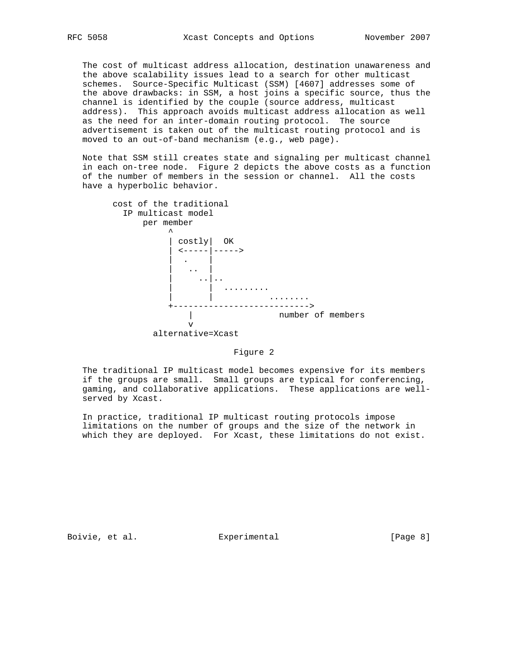The cost of multicast address allocation, destination unawareness and the above scalability issues lead to a search for other multicast schemes. Source-Specific Multicast (SSM) [4607] addresses some of the above drawbacks: in SSM, a host joins a specific source, thus the channel is identified by the couple (source address, multicast address). This approach avoids multicast address allocation as well as the need for an inter-domain routing protocol. The source advertisement is taken out of the multicast routing protocol and is moved to an out-of-band mechanism (e.g., web page).

 Note that SSM still creates state and signaling per multicast channel in each on-tree node. Figure 2 depicts the above costs as a function of the number of members in the session or channel. All the costs have a hyperbolic behavior.



### Figure 2

 The traditional IP multicast model becomes expensive for its members if the groups are small. Small groups are typical for conferencing, gaming, and collaborative applications. These applications are well served by Xcast.

 In practice, traditional IP multicast routing protocols impose limitations on the number of groups and the size of the network in which they are deployed. For Xcast, these limitations do not exist.

Boivie, et al. <br>Experimental [Page 8]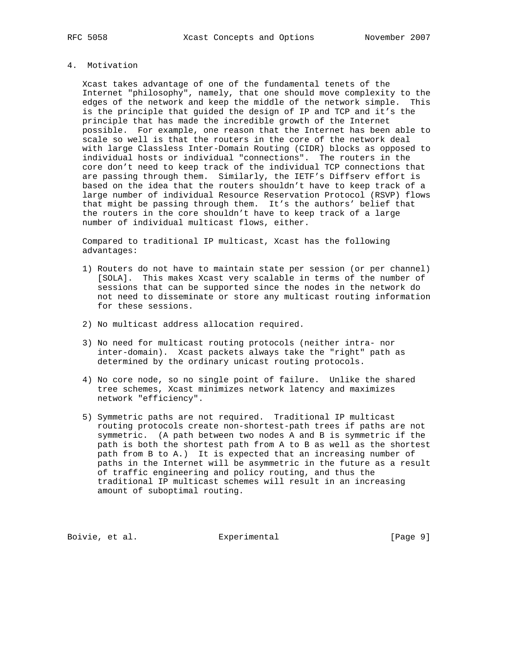# 4. Motivation

 Xcast takes advantage of one of the fundamental tenets of the Internet "philosophy", namely, that one should move complexity to the edges of the network and keep the middle of the network simple. This is the principle that guided the design of IP and TCP and it's the principle that has made the incredible growth of the Internet possible. For example, one reason that the Internet has been able to scale so well is that the routers in the core of the network deal with large Classless Inter-Domain Routing (CIDR) blocks as opposed to individual hosts or individual "connections". The routers in the core don't need to keep track of the individual TCP connections that are passing through them. Similarly, the IETF's Diffserv effort is based on the idea that the routers shouldn't have to keep track of a large number of individual Resource Reservation Protocol (RSVP) flows that might be passing through them. It's the authors' belief that the routers in the core shouldn't have to keep track of a large number of individual multicast flows, either.

 Compared to traditional IP multicast, Xcast has the following advantages:

- 1) Routers do not have to maintain state per session (or per channel) [SOLA]. This makes Xcast very scalable in terms of the number of sessions that can be supported since the nodes in the network do not need to disseminate or store any multicast routing information for these sessions.
- 2) No multicast address allocation required.
- 3) No need for multicast routing protocols (neither intra- nor inter-domain). Xcast packets always take the "right" path as determined by the ordinary unicast routing protocols.
- 4) No core node, so no single point of failure. Unlike the shared tree schemes, Xcast minimizes network latency and maximizes network "efficiency".
- 5) Symmetric paths are not required. Traditional IP multicast routing protocols create non-shortest-path trees if paths are not symmetric. (A path between two nodes A and B is symmetric if the path is both the shortest path from A to B as well as the shortest path from B to A.) It is expected that an increasing number of paths in the Internet will be asymmetric in the future as a result of traffic engineering and policy routing, and thus the traditional IP multicast schemes will result in an increasing amount of suboptimal routing.

Boivie, et al. <br>Experimental [Page 9]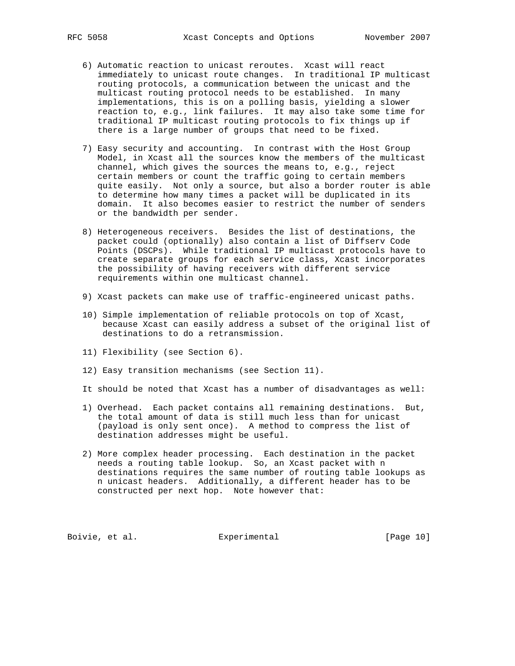- 6) Automatic reaction to unicast reroutes. Xcast will react immediately to unicast route changes. In traditional IP multicast routing protocols, a communication between the unicast and the multicast routing protocol needs to be established. In many implementations, this is on a polling basis, yielding a slower reaction to, e.g., link failures. It may also take some time for traditional IP multicast routing protocols to fix things up if there is a large number of groups that need to be fixed.
- 7) Easy security and accounting. In contrast with the Host Group Model, in Xcast all the sources know the members of the multicast channel, which gives the sources the means to, e.g., reject certain members or count the traffic going to certain members quite easily. Not only a source, but also a border router is able to determine how many times a packet will be duplicated in its domain. It also becomes easier to restrict the number of senders or the bandwidth per sender.
- 8) Heterogeneous receivers. Besides the list of destinations, the packet could (optionally) also contain a list of Diffserv Code Points (DSCPs). While traditional IP multicast protocols have to create separate groups for each service class, Xcast incorporates the possibility of having receivers with different service requirements within one multicast channel.
- 9) Xcast packets can make use of traffic-engineered unicast paths.
- 10) Simple implementation of reliable protocols on top of Xcast, because Xcast can easily address a subset of the original list of destinations to do a retransmission.
- 11) Flexibility (see Section 6).
- 12) Easy transition mechanisms (see Section 11).
- It should be noted that Xcast has a number of disadvantages as well:
- 1) Overhead. Each packet contains all remaining destinations. But, the total amount of data is still much less than for unicast (payload is only sent once). A method to compress the list of destination addresses might be useful.
- 2) More complex header processing. Each destination in the packet needs a routing table lookup. So, an Xcast packet with n destinations requires the same number of routing table lookups as n unicast headers. Additionally, a different header has to be constructed per next hop. Note however that:

Boivie, et al. <br>Experimental [Page 10]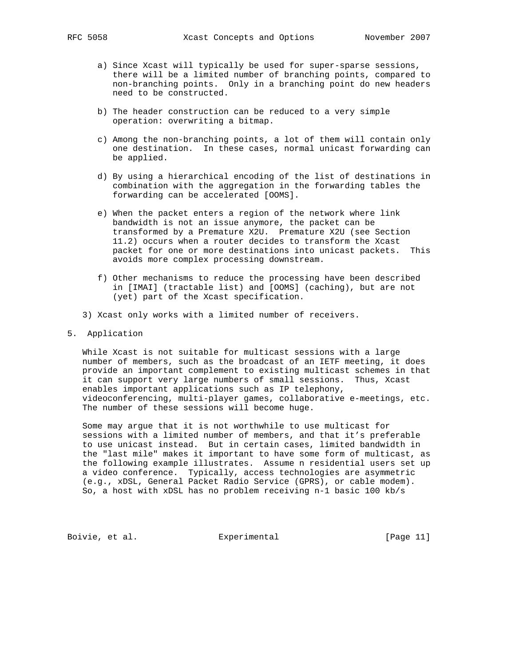- a) Since Xcast will typically be used for super-sparse sessions, there will be a limited number of branching points, compared to non-branching points. Only in a branching point do new headers need to be constructed.
- b) The header construction can be reduced to a very simple operation: overwriting a bitmap.
- c) Among the non-branching points, a lot of them will contain only one destination. In these cases, normal unicast forwarding can be applied.
- d) By using a hierarchical encoding of the list of destinations in combination with the aggregation in the forwarding tables the forwarding can be accelerated [OOMS].
- e) When the packet enters a region of the network where link bandwidth is not an issue anymore, the packet can be transformed by a Premature X2U. Premature X2U (see Section 11.2) occurs when a router decides to transform the Xcast packet for one or more destinations into unicast packets. This avoids more complex processing downstream.
- f) Other mechanisms to reduce the processing have been described in [IMAI] (tractable list) and [OOMS] (caching), but are not (yet) part of the Xcast specification.
- 3) Xcast only works with a limited number of receivers.
- 5. Application

 While Xcast is not suitable for multicast sessions with a large number of members, such as the broadcast of an IETF meeting, it does provide an important complement to existing multicast schemes in that it can support very large numbers of small sessions. Thus, Xcast enables important applications such as IP telephony, videoconferencing, multi-player games, collaborative e-meetings, etc. The number of these sessions will become huge.

 Some may argue that it is not worthwhile to use multicast for sessions with a limited number of members, and that it's preferable to use unicast instead. But in certain cases, limited bandwidth in the "last mile" makes it important to have some form of multicast, as the following example illustrates. Assume n residential users set up a video conference. Typically, access technologies are asymmetric (e.g., xDSL, General Packet Radio Service (GPRS), or cable modem). So, a host with xDSL has no problem receiving n-1 basic 100 kb/s

Boivie, et al. Experimental [Page 11]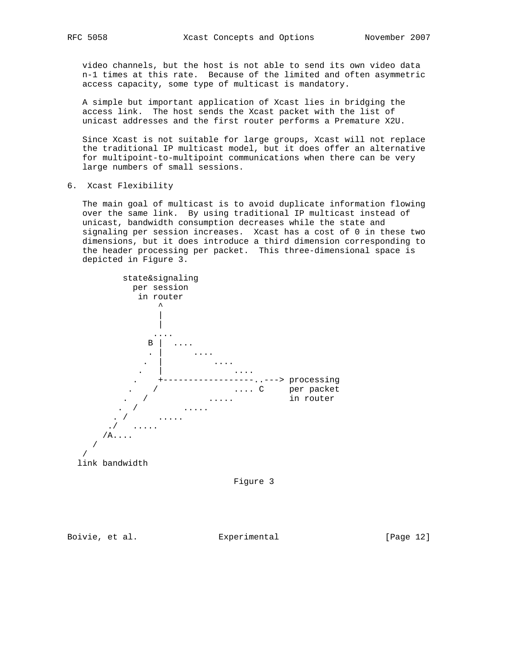video channels, but the host is not able to send its own video data n-1 times at this rate. Because of the limited and often asymmetric access capacity, some type of multicast is mandatory.

 A simple but important application of Xcast lies in bridging the access link. The host sends the Xcast packet with the list of unicast addresses and the first router performs a Premature X2U.

 Since Xcast is not suitable for large groups, Xcast will not replace the traditional IP multicast model, but it does offer an alternative for multipoint-to-multipoint communications when there can be very large numbers of small sessions.

6. Xcast Flexibility

 The main goal of multicast is to avoid duplicate information flowing over the same link. By using traditional IP multicast instead of unicast, bandwidth consumption decreases while the state and signaling per session increases. Xcast has a cost of 0 in these two dimensions, but it does introduce a third dimension corresponding to the header processing per packet. This three-dimensional space is depicted in Figure 3.



Figure 3

Boivie, et al. Subsection Experimental Frage 121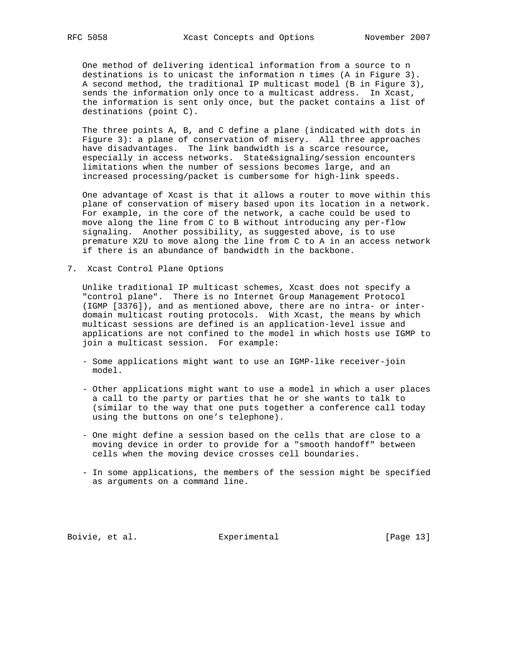One method of delivering identical information from a source to n destinations is to unicast the information n times (A in Figure 3). A second method, the traditional IP multicast model (B in Figure 3), sends the information only once to a multicast address. In Xcast, the information is sent only once, but the packet contains a list of destinations (point C).

 The three points A, B, and C define a plane (indicated with dots in Figure 3): a plane of conservation of misery. All three approaches have disadvantages. The link bandwidth is a scarce resource, especially in access networks. State&signaling/session encounters limitations when the number of sessions becomes large, and an increased processing/packet is cumbersome for high-link speeds.

 One advantage of Xcast is that it allows a router to move within this plane of conservation of misery based upon its location in a network. For example, in the core of the network, a cache could be used to move along the line from C to B without introducing any per-flow signaling. Another possibility, as suggested above, is to use premature X2U to move along the line from C to A in an access network if there is an abundance of bandwidth in the backbone.

7. Xcast Control Plane Options

 Unlike traditional IP multicast schemes, Xcast does not specify a "control plane". There is no Internet Group Management Protocol (IGMP [3376]), and as mentioned above, there are no intra- or inter domain multicast routing protocols. With Xcast, the means by which multicast sessions are defined is an application-level issue and applications are not confined to the model in which hosts use IGMP to join a multicast session. For example:

- Some applications might want to use an IGMP-like receiver-join model.
- Other applications might want to use a model in which a user places a call to the party or parties that he or she wants to talk to (similar to the way that one puts together a conference call today using the buttons on one's telephone).
- One might define a session based on the cells that are close to a moving device in order to provide for a "smooth handoff" between cells when the moving device crosses cell boundaries.
- In some applications, the members of the session might be specified as arguments on a command line.

Boivie, et al. Experimental [Page 13]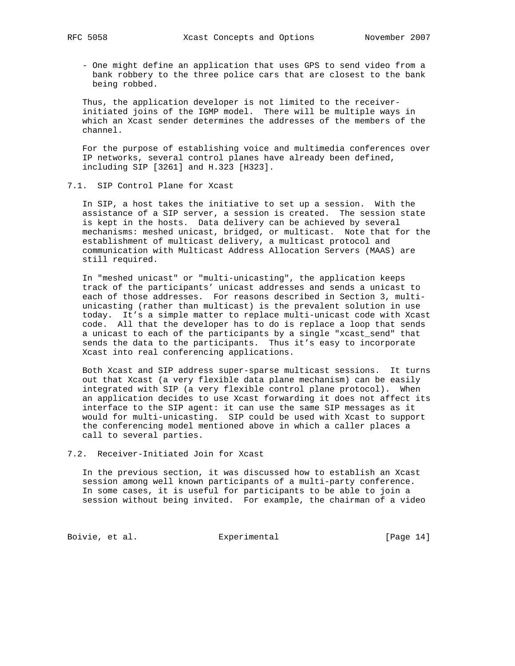- One might define an application that uses GPS to send video from a bank robbery to the three police cars that are closest to the bank being robbed.

 Thus, the application developer is not limited to the receiver initiated joins of the IGMP model. There will be multiple ways in which an Xcast sender determines the addresses of the members of the channel.

 For the purpose of establishing voice and multimedia conferences over IP networks, several control planes have already been defined, including SIP [3261] and H.323 [H323].

### 7.1. SIP Control Plane for Xcast

 In SIP, a host takes the initiative to set up a session. With the assistance of a SIP server, a session is created. The session state is kept in the hosts. Data delivery can be achieved by several mechanisms: meshed unicast, bridged, or multicast. Note that for the establishment of multicast delivery, a multicast protocol and communication with Multicast Address Allocation Servers (MAAS) are still required.

 In "meshed unicast" or "multi-unicasting", the application keeps track of the participants' unicast addresses and sends a unicast to each of those addresses. For reasons described in Section 3, multi unicasting (rather than multicast) is the prevalent solution in use today. It's a simple matter to replace multi-unicast code with Xcast code. All that the developer has to do is replace a loop that sends a unicast to each of the participants by a single "xcast\_send" that sends the data to the participants. Thus it's easy to incorporate Xcast into real conferencing applications.

 Both Xcast and SIP address super-sparse multicast sessions. It turns out that Xcast (a very flexible data plane mechanism) can be easily integrated with SIP (a very flexible control plane protocol). When an application decides to use Xcast forwarding it does not affect its interface to the SIP agent: it can use the same SIP messages as it would for multi-unicasting. SIP could be used with Xcast to support the conferencing model mentioned above in which a caller places a call to several parties.

# 7.2. Receiver-Initiated Join for Xcast

 In the previous section, it was discussed how to establish an Xcast session among well known participants of a multi-party conference. In some cases, it is useful for participants to be able to join a session without being invited. For example, the chairman of a video

Boivie, et al. <br>Experimental [Page 14]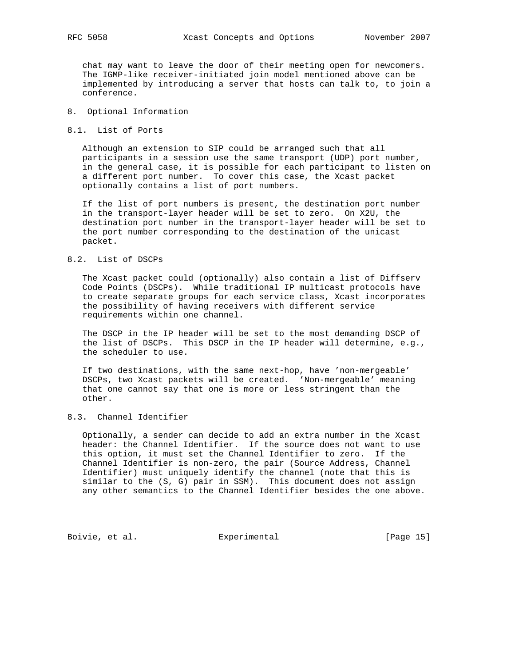chat may want to leave the door of their meeting open for newcomers. The IGMP-like receiver-initiated join model mentioned above can be implemented by introducing a server that hosts can talk to, to join a conference.

### 8. Optional Information

8.1. List of Ports

 Although an extension to SIP could be arranged such that all participants in a session use the same transport (UDP) port number, in the general case, it is possible for each participant to listen on a different port number. To cover this case, the Xcast packet optionally contains a list of port numbers.

 If the list of port numbers is present, the destination port number in the transport-layer header will be set to zero. On X2U, the destination port number in the transport-layer header will be set to the port number corresponding to the destination of the unicast packet.

### 8.2. List of DSCPs

 The Xcast packet could (optionally) also contain a list of Diffserv Code Points (DSCPs). While traditional IP multicast protocols have to create separate groups for each service class, Xcast incorporates the possibility of having receivers with different service requirements within one channel.

 The DSCP in the IP header will be set to the most demanding DSCP of the list of DSCPs. This DSCP in the IP header will determine, e.g., the scheduler to use.

 If two destinations, with the same next-hop, have 'non-mergeable' DSCPs, two Xcast packets will be created. 'Non-mergeable' meaning that one cannot say that one is more or less stringent than the other.

# 8.3. Channel Identifier

 Optionally, a sender can decide to add an extra number in the Xcast header: the Channel Identifier. If the source does not want to use this option, it must set the Channel Identifier to zero. If the Channel Identifier is non-zero, the pair (Source Address, Channel Identifier) must uniquely identify the channel (note that this is similar to the (S, G) pair in SSM). This document does not assign any other semantics to the Channel Identifier besides the one above.

Boivie, et al. Experimental [Page 15]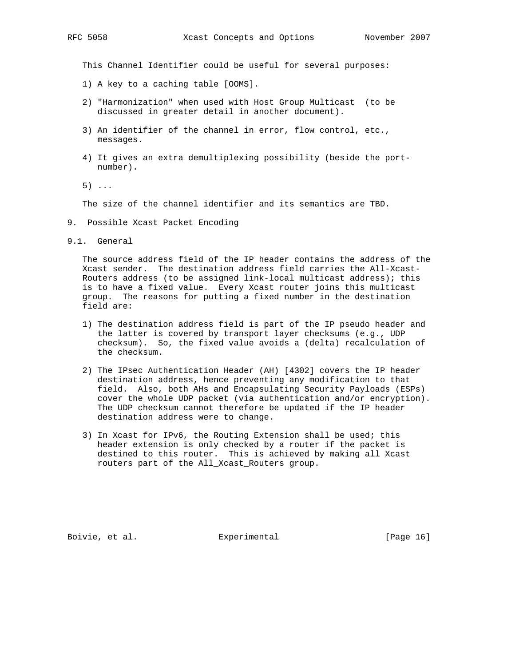This Channel Identifier could be useful for several purposes:

- 1) A key to a caching table [OOMS].
- 2) "Harmonization" when used with Host Group Multicast (to be discussed in greater detail in another document).
- 3) An identifier of the channel in error, flow control, etc., messages.
- 4) It gives an extra demultiplexing possibility (beside the port number).
- 5) ...

The size of the channel identifier and its semantics are TBD.

- 9. Possible Xcast Packet Encoding
- 9.1. General

 The source address field of the IP header contains the address of the Xcast sender. The destination address field carries the All-Xcast- Routers address (to be assigned link-local multicast address); this is to have a fixed value. Every Xcast router joins this multicast group. The reasons for putting a fixed number in the destination field are:

- 1) The destination address field is part of the IP pseudo header and the latter is covered by transport layer checksums (e.g., UDP checksum). So, the fixed value avoids a (delta) recalculation of the checksum.
- 2) The IPsec Authentication Header (AH) [4302] covers the IP header destination address, hence preventing any modification to that field. Also, both AHs and Encapsulating Security Payloads (ESPs) cover the whole UDP packet (via authentication and/or encryption). The UDP checksum cannot therefore be updated if the IP header destination address were to change.
- 3) In Xcast for IPv6, the Routing Extension shall be used; this header extension is only checked by a router if the packet is destined to this router. This is achieved by making all Xcast routers part of the All\_Xcast\_Routers group.

Boivie, et al. Experimental [Page 16]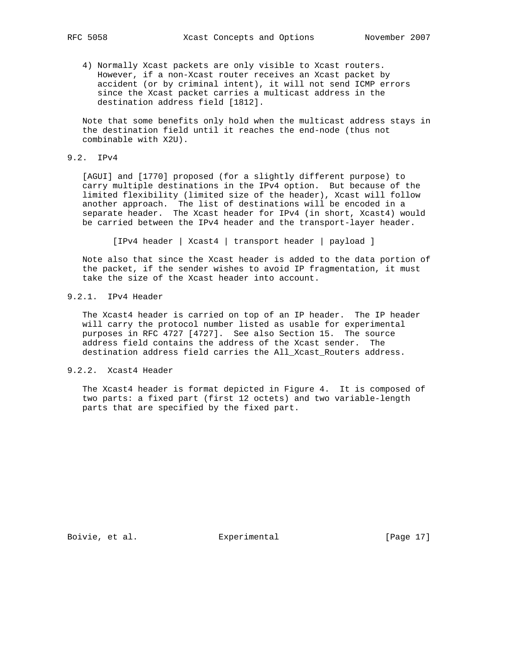4) Normally Xcast packets are only visible to Xcast routers. However, if a non-Xcast router receives an Xcast packet by accident (or by criminal intent), it will not send ICMP errors since the Xcast packet carries a multicast address in the destination address field [1812].

 Note that some benefits only hold when the multicast address stays in the destination field until it reaches the end-node (thus not combinable with X2U).

# 9.2. IPv4

 [AGUI] and [1770] proposed (for a slightly different purpose) to carry multiple destinations in the IPv4 option. But because of the limited flexibility (limited size of the header), Xcast will follow another approach. The list of destinations will be encoded in a separate header. The Xcast header for IPv4 (in short, Xcast4) would be carried between the IPv4 header and the transport-layer header.

[IPv4 header | Xcast4 | transport header | payload ]

 Note also that since the Xcast header is added to the data portion of the packet, if the sender wishes to avoid IP fragmentation, it must take the size of the Xcast header into account.

# 9.2.1. IPv4 Header

 The Xcast4 header is carried on top of an IP header. The IP header will carry the protocol number listed as usable for experimental purposes in RFC 4727 [4727]. See also Section 15. The source address field contains the address of the Xcast sender. The destination address field carries the All\_Xcast\_Routers address.

# 9.2.2. Xcast4 Header

 The Xcast4 header is format depicted in Figure 4. It is composed of two parts: a fixed part (first 12 octets) and two variable-length parts that are specified by the fixed part.

Boivie, et al. Experimental [Page 17]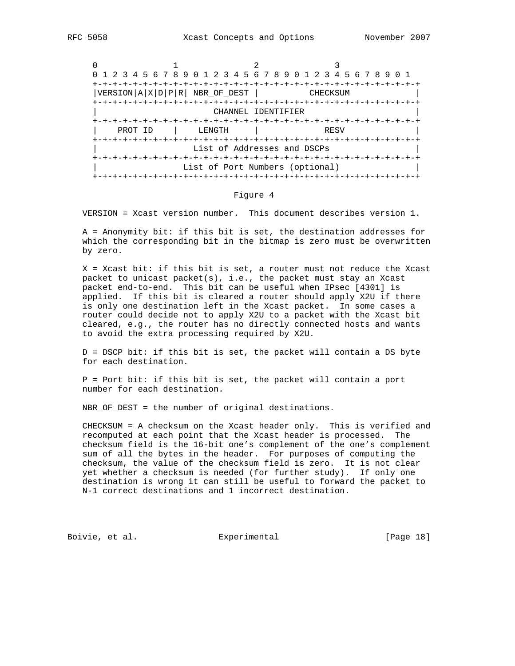|         | 0 1 2 3 4 5 6 7 8 9 0 1 2 3 4 5 6 7 8 9 0 1 2 3 4 5 6 7 8 9 0 1                                   |                                               |          |  |  |  |
|---------|---------------------------------------------------------------------------------------------------|-----------------------------------------------|----------|--|--|--|
|         | $ {\tt VERSION} \,{\tt A}\, \,{\tt X}\, \,{\tt D}\, \,{\tt P}\, \,{\tt R}\, \,$ NBR_OF_DEST $ \,$ | -+-+-+-+-+-+-+-+-+-+-+-+-+-                   | CHECKSUM |  |  |  |
|         |                                                                                                   | CHANNEL IDENTIFIER<br>+-+-+-+-+-+-+-+-+-+-+-+ |          |  |  |  |
| PROT ID | LENGTH                                                                                            |                                               | RESV     |  |  |  |
|         | List of Addresses and DSCPs                                                                       |                                               |          |  |  |  |
|         | List of Port Numbers (optional)<br>-+-+-+-+-+-+-+-+-+-+-+-+-+-+-+-+-+-+-+                         |                                               |          |  |  |  |

#### Figure 4

VERSION = Xcast version number. This document describes version 1.

 A = Anonymity bit: if this bit is set, the destination addresses for which the corresponding bit in the bitmap is zero must be overwritten by zero.

 X = Xcast bit: if this bit is set, a router must not reduce the Xcast packet to unicast packet(s), i.e., the packet must stay an Xcast packet end-to-end. This bit can be useful when IPsec [4301] is applied. If this bit is cleared a router should apply X2U if there is only one destination left in the Xcast packet. In some cases a router could decide not to apply X2U to a packet with the Xcast bit cleared, e.g., the router has no directly connected hosts and wants to avoid the extra processing required by X2U.

 D = DSCP bit: if this bit is set, the packet will contain a DS byte for each destination.

 P = Port bit: if this bit is set, the packet will contain a port number for each destination.

NBR\_OF\_DEST = the number of original destinations.

 CHECKSUM = A checksum on the Xcast header only. This is verified and recomputed at each point that the Xcast header is processed. The checksum field is the 16-bit one's complement of the one's complement sum of all the bytes in the header. For purposes of computing the checksum, the value of the checksum field is zero. It is not clear yet whether a checksum is needed (for further study). If only one destination is wrong it can still be useful to forward the packet to N-1 correct destinations and 1 incorrect destination.

Boivie, et al. <br>Experimental [Page 18]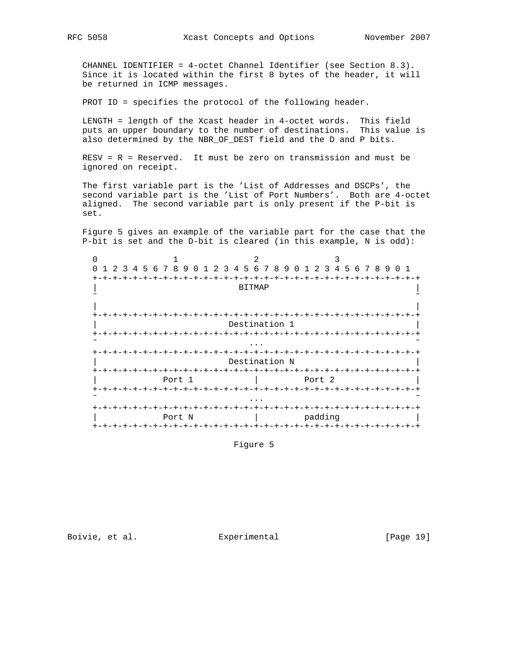CHANNEL IDENTIFIER = 4-octet Channel Identifier (see Section 8.3). Since it is located within the first 8 bytes of the header, it will be returned in ICMP messages.

PROT ID = specifies the protocol of the following header.

 LENGTH = length of the Xcast header in 4-octet words. This field puts an upper boundary to the number of destinations. This value is also determined by the NBR\_OF\_DEST field and the D and P bits.

 RESV = R = Reserved. It must be zero on transmission and must be ignored on receipt.

 The first variable part is the 'List of Addresses and DSCPs', the second variable part is the 'List of Port Numbers'. Both are 4-octet aligned. The second variable part is only present if the P-bit is set.

 Figure 5 gives an example of the variable part for the case that the P-bit is set and the D-bit is cleared (in this example, N is odd):

| 4<br>-2<br>$\overline{3}$ | 5 6 7 8 9<br>0<br>1   | 2 3 4 5 6 7 8 9         | 1 2 3 4 5 6 7 8 9 0 1<br>0             |  |
|---------------------------|-----------------------|-------------------------|----------------------------------------|--|
|                           |                       |                         |                                        |  |
|                           |                       | <b>BITMAP</b>           |                                        |  |
|                           |                       |                         |                                        |  |
|                           |                       |                         |                                        |  |
|                           |                       |                         |                                        |  |
|                           |                       | Destination 1           |                                        |  |
|                           |                       |                         |                                        |  |
|                           |                       |                         |                                        |  |
|                           |                       | -+-+-+-+-+-+-+          |                                        |  |
|                           |                       | Destination N           |                                        |  |
|                           |                       |                         |                                        |  |
|                           | Port 1                |                         | Port 2                                 |  |
|                           | +-+-+-+-+-+-+-+-+-+   |                         | $- + - + - + - + - + - +$              |  |
|                           |                       |                         |                                        |  |
|                           |                       | $+ - + - + - + - + - +$ | $-+ - + - + - + - + - +$               |  |
|                           | Port N                |                         |                                        |  |
|                           |                       |                         | padding                                |  |
|                           | +-+-+-+-+-+-+-+-+-+-+ |                         | -+-+-+-+-+-+-+-+-+-+-+-+-+-+-+-+-+-+-+ |  |

Figure 5

Boivie, et al. Experimental [Page 19]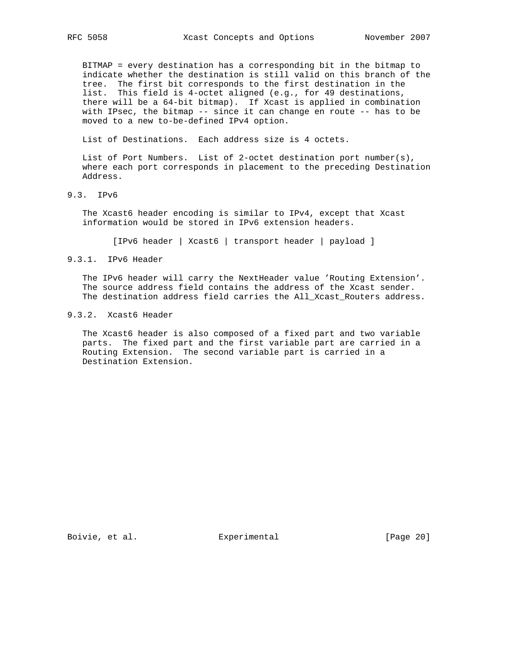BITMAP = every destination has a corresponding bit in the bitmap to indicate whether the destination is still valid on this branch of the tree. The first bit corresponds to the first destination in the list. This field is 4-octet aligned (e.g., for 49 destinations, there will be a 64-bit bitmap). If Xcast is applied in combination with IPsec, the bitmap -- since it can change en route -- has to be moved to a new to-be-defined IPv4 option.

List of Destinations. Each address size is 4 octets.

 List of Port Numbers. List of 2-octet destination port number(s), where each port corresponds in placement to the preceding Destination Address.

9.3. IPv6

 The Xcast6 header encoding is similar to IPv4, except that Xcast information would be stored in IPv6 extension headers.

[IPv6 header | Xcast6 | transport header | payload ]

#### 9.3.1. IPv6 Header

 The IPv6 header will carry the NextHeader value 'Routing Extension'. The source address field contains the address of the Xcast sender. The destination address field carries the All\_Xcast\_Routers address.

# 9.3.2. Xcast6 Header

 The Xcast6 header is also composed of a fixed part and two variable parts. The fixed part and the first variable part are carried in a Routing Extension. The second variable part is carried in a Destination Extension.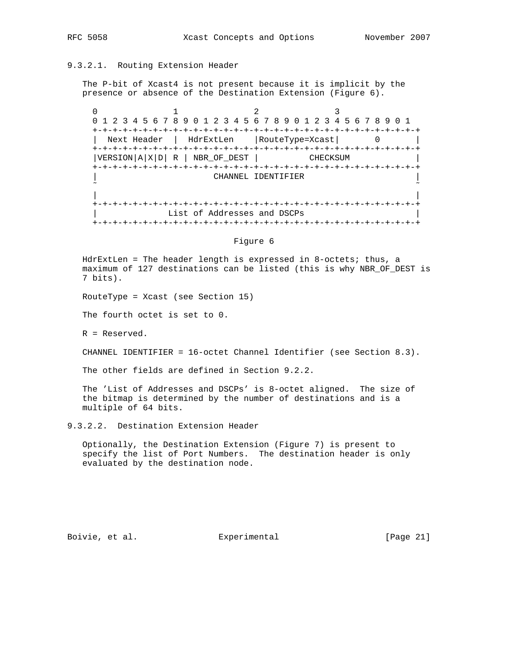# 9.3.2.1. Routing Extension Header

 The P-bit of Xcast4 is not present because it is implicit by the presence or absence of the Destination Extension (Figure 6).

 $0$  1 2 3 0 1 2 3 4 5 6 7 8 9 0 1 2 3 4 5 6 7 8 9 0 1 2 3 4 5 6 7 8 9 0 1 +-+-+-+-+-+-+-+-+-+-+-+-+-+-+-+-+-+-+-+-+-+-+-+-+-+-+-+-+-+-+-+-+ | Next Header | HdrExtLen |RouteType=Xcast| 0 | +-+-+-+-+-+-+-+-+-+-+-+-+-+-+-+-+-+-+-+-+-+-+-+-+-+-+-+-+-+-+-+-+  $|VERSION|A|X|D| R | NBR_OF_DEST |$  CHECKSUM +-+-+-+-+-+-+-+-+-+-+-+-+-+-+-+-+-+-+-+-+-+-+-+-+-+-+-+-+-+-+-+-+ | CHANNEL IDENTIFIER | ˜ ˜ | | +-+-+-+-+-+-+-+-+-+-+-+-+-+-+-+-+-+-+-+-+-+-+-+-+-+-+-+-+-+-+-+-+ List of Addresses and DSCPs +-+-+-+-+-+-+-+-+-+-+-+-+-+-+-+-+-+-+-+-+-+-+-+-+-+-+-+-+-+-+-+-+

Figure 6

 HdrExtLen = The header length is expressed in 8-octets; thus, a maximum of 127 destinations can be listed (this is why NBR\_OF\_DEST is 7 bits).

RouteType = Xcast (see Section 15)

The fourth octet is set to 0.

R = Reserved.

CHANNEL IDENTIFIER = 16-octet Channel Identifier (see Section 8.3).

The other fields are defined in Section 9.2.2.

 The 'List of Addresses and DSCPs' is 8-octet aligned. The size of the bitmap is determined by the number of destinations and is a multiple of 64 bits.

9.3.2.2. Destination Extension Header

 Optionally, the Destination Extension (Figure 7) is present to specify the list of Port Numbers. The destination header is only evaluated by the destination node.

Boivie, et al. <br>Experimental [Page 21]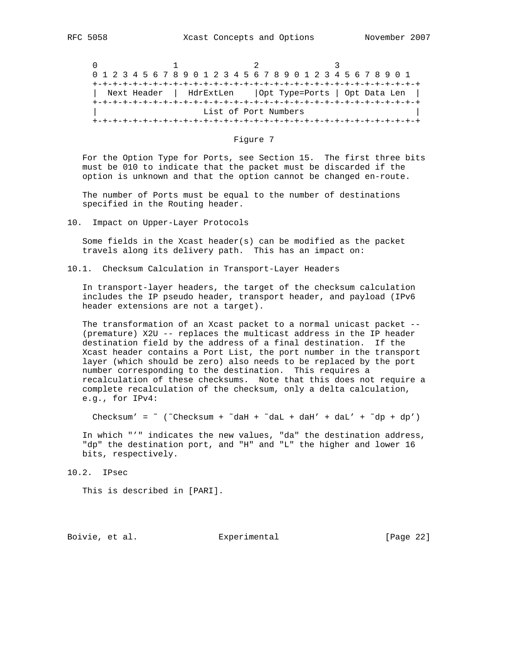$0$  1 2 3 0 1 2 3 4 5 6 7 8 9 0 1 2 3 4 5 6 7 8 9 0 1 2 3 4 5 6 7 8 9 0 1 +-+-+-+-+-+-+-+-+-+-+-+-+-+-+-+-+-+-+-+-+-+-+-+-+-+-+-+-+-+-+-+-+ | Next Header | HdrExtLen |Opt Type=Ports | Opt Data Len | +-+-+-+-+-+-+-+-+-+-+-+-+-+-+-+-+-+-+-+-+-+-+-+-+-+-+-+-+-+-+-+-+ List of Port Numbers +-+-+-+-+-+-+-+-+-+-+-+-+-+-+-+-+-+-+-+-+-+-+-+-+-+-+-+-+-+-+-+-+

Figure 7

 For the Option Type for Ports, see Section 15. The first three bits must be 010 to indicate that the packet must be discarded if the option is unknown and that the option cannot be changed en-route.

 The number of Ports must be equal to the number of destinations specified in the Routing header.

10. Impact on Upper-Layer Protocols

 Some fields in the Xcast header(s) can be modified as the packet travels along its delivery path. This has an impact on:

10.1. Checksum Calculation in Transport-Layer Headers

 In transport-layer headers, the target of the checksum calculation includes the IP pseudo header, transport header, and payload (IPv6 header extensions are not a target).

 The transformation of an Xcast packet to a normal unicast packet -- (premature) X2U -- replaces the multicast address in the IP header destination field by the address of a final destination. If the Xcast header contains a Port List, the port number in the transport layer (which should be zero) also needs to be replaced by the port number corresponding to the destination. This requires a recalculation of these checksums. Note that this does not require a complete recalculation of the checksum, only a delta calculation, e.g., for IPv4:

Checksum' =  $\degree$  ( $\degree$ Checksum +  $\degree$ daH +  $\degree$ daL + daH' + daL' +  $\degree$ dp + dp')

 In which "'" indicates the new values, "da" the destination address, "dp" the destination port, and "H" and "L" the higher and lower 16 bits, respectively.

10.2. IPsec

This is described in [PARI].

Boivie, et al. Subsection Experimental Experimental [Page 22]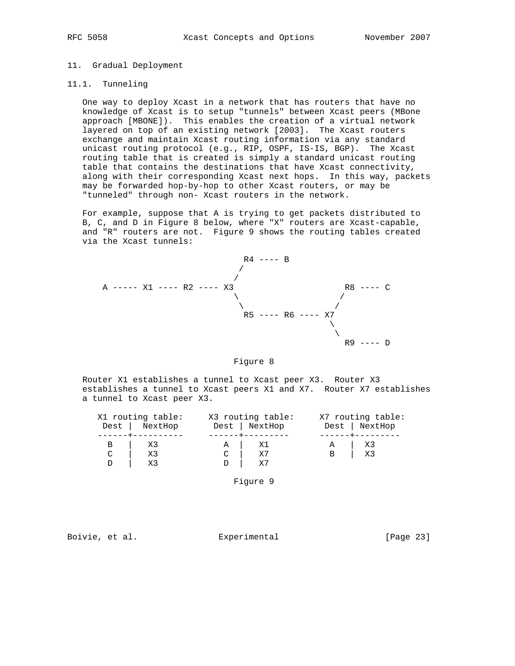### 11. Gradual Deployment

### 11.1. Tunneling

 One way to deploy Xcast in a network that has routers that have no knowledge of Xcast is to setup "tunnels" between Xcast peers (MBone approach [MBONE]). This enables the creation of a virtual network layered on top of an existing network [2003]. The Xcast routers exchange and maintain Xcast routing information via any standard unicast routing protocol (e.g., RIP, OSPF, IS-IS, BGP). The Xcast routing table that is created is simply a standard unicast routing table that contains the destinations that have Xcast connectivity, along with their corresponding Xcast next hops. In this way, packets may be forwarded hop-by-hop to other Xcast routers, or may be "tunneled" through non- Xcast routers in the network.

 For example, suppose that A is trying to get packets distributed to B, C, and D in Figure 8 below, where "X" routers are Xcast-capable, and "R" routers are not. Figure 9 shows the routing tables created via the Xcast tunnels:



#### Figure 8

 Router X1 establishes a tunnel to Xcast peer X3. Router X3 establishes a tunnel to Xcast peers X1 and X7. Router X7 establishes a tunnel to Xcast peer X3.

|             | X1 routing table: | X3 routing table: |   | X7 routing table: |
|-------------|-------------------|-------------------|---|-------------------|
|             | Dest   NextHop    | Dest   NextHop    |   | Dest   NextHop    |
|             |                   |                   |   |                   |
|             | - X3              |                   | A | - x3              |
| $\mathbf C$ | X3                |                   | B | X3                |
|             |                   |                   |   |                   |

Figure 9

Boivie, et al. **Experimental** [Page 23]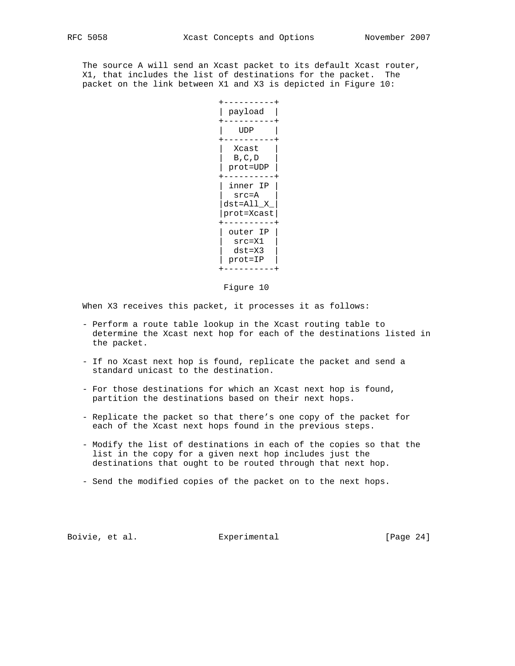The source A will send an Xcast packet to its default Xcast router, X1, that includes the list of destinations for the packet. The packet on the link between X1 and X3 is depicted in Figure 10:



### Figure 10

When X3 receives this packet, it processes it as follows:

- Perform a route table lookup in the Xcast routing table to determine the Xcast next hop for each of the destinations listed in the packet.
- If no Xcast next hop is found, replicate the packet and send a standard unicast to the destination.
- For those destinations for which an Xcast next hop is found, partition the destinations based on their next hops.
- Replicate the packet so that there's one copy of the packet for each of the Xcast next hops found in the previous steps.
- Modify the list of destinations in each of the copies so that the list in the copy for a given next hop includes just the destinations that ought to be routed through that next hop.
- Send the modified copies of the packet on to the next hops.

Boivie, et al. Subsectimental Experimental [Page 24]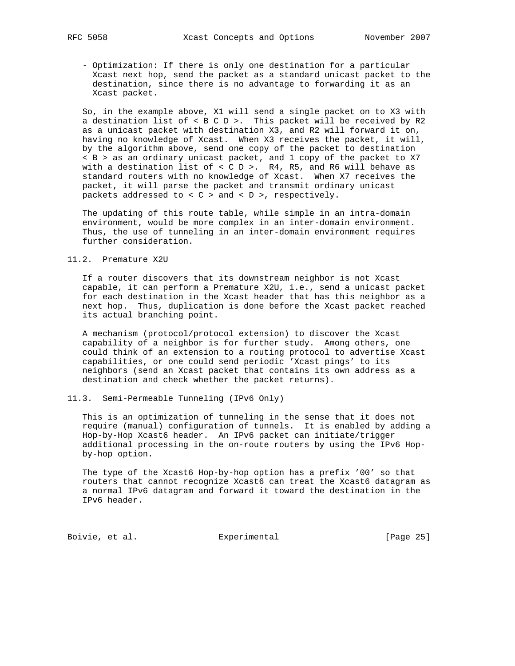- Optimization: If there is only one destination for a particular Xcast next hop, send the packet as a standard unicast packet to the destination, since there is no advantage to forwarding it as an Xcast packet.

 So, in the example above, X1 will send a single packet on to X3 with a destination list of < B C D >. This packet will be received by R2 as a unicast packet with destination X3, and R2 will forward it on, having no knowledge of Xcast. When X3 receives the packet, it will, by the algorithm above, send one copy of the packet to destination < B > as an ordinary unicast packet, and 1 copy of the packet to X7 with a destination list of < C D >. R4, R5, and R6 will behave as standard routers with no knowledge of Xcast. When X7 receives the packet, it will parse the packet and transmit ordinary unicast packets addressed to  $< C$  > and  $< D$  >, respectively.

 The updating of this route table, while simple in an intra-domain environment, would be more complex in an inter-domain environment. Thus, the use of tunneling in an inter-domain environment requires further consideration.

### 11.2. Premature X2U

 If a router discovers that its downstream neighbor is not Xcast capable, it can perform a Premature X2U, i.e., send a unicast packet for each destination in the Xcast header that has this neighbor as a next hop. Thus, duplication is done before the Xcast packet reached its actual branching point.

 A mechanism (protocol/protocol extension) to discover the Xcast capability of a neighbor is for further study. Among others, one could think of an extension to a routing protocol to advertise Xcast capabilities, or one could send periodic 'Xcast pings' to its neighbors (send an Xcast packet that contains its own address as a destination and check whether the packet returns).

11.3. Semi-Permeable Tunneling (IPv6 Only)

 This is an optimization of tunneling in the sense that it does not require (manual) configuration of tunnels. It is enabled by adding a Hop-by-Hop Xcast6 header. An IPv6 packet can initiate/trigger additional processing in the on-route routers by using the IPv6 Hop by-hop option.

 The type of the Xcast6 Hop-by-hop option has a prefix '00' so that routers that cannot recognize Xcast6 can treat the Xcast6 datagram as a normal IPv6 datagram and forward it toward the destination in the IPv6 header.

Boivie, et al. Subsection Experimental Formula (Page 25)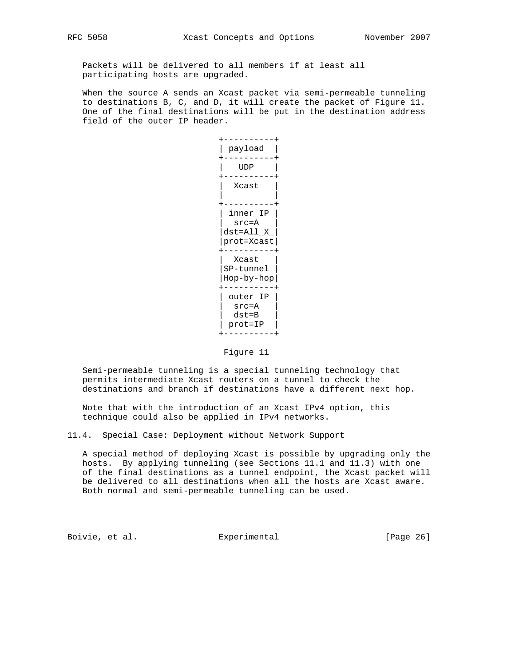Packets will be delivered to all members if at least all participating hosts are upgraded.

 When the source A sends an Xcast packet via semi-permeable tunneling to destinations B, C, and D, it will create the packet of Figure 11. One of the final destinations will be put in the destination address field of the outer IP header.



Figure 11

 Semi-permeable tunneling is a special tunneling technology that permits intermediate Xcast routers on a tunnel to check the destinations and branch if destinations have a different next hop.

 Note that with the introduction of an Xcast IPv4 option, this technique could also be applied in IPv4 networks.

11.4. Special Case: Deployment without Network Support

 A special method of deploying Xcast is possible by upgrading only the hosts. By applying tunneling (see Sections 11.1 and 11.3) with one of the final destinations as a tunnel endpoint, the Xcast packet will be delivered to all destinations when all the hosts are Xcast aware. Both normal and semi-permeable tunneling can be used.

Boivie, et al. <br>Experimental [Page 26]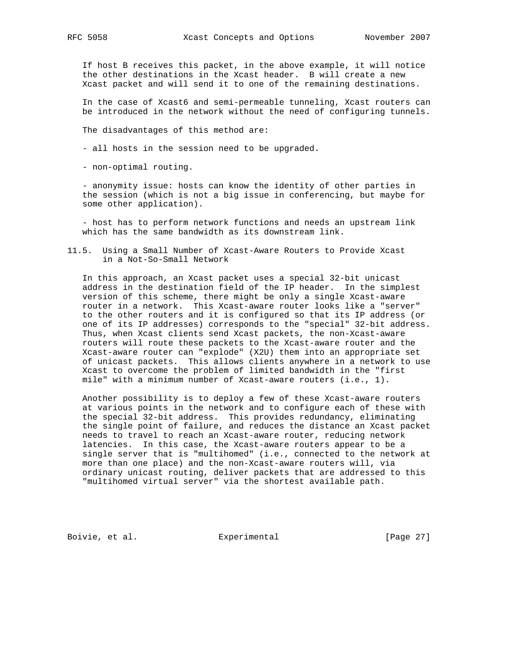If host B receives this packet, in the above example, it will notice the other destinations in the Xcast header. B will create a new Xcast packet and will send it to one of the remaining destinations.

 In the case of Xcast6 and semi-permeable tunneling, Xcast routers can be introduced in the network without the need of configuring tunnels.

The disadvantages of this method are:

- all hosts in the session need to be upgraded.
- non-optimal routing.

 - anonymity issue: hosts can know the identity of other parties in the session (which is not a big issue in conferencing, but maybe for some other application).

 - host has to perform network functions and needs an upstream link which has the same bandwidth as its downstream link.

11.5. Using a Small Number of Xcast-Aware Routers to Provide Xcast in a Not-So-Small Network

 In this approach, an Xcast packet uses a special 32-bit unicast address in the destination field of the IP header. In the simplest version of this scheme, there might be only a single Xcast-aware router in a network. This Xcast-aware router looks like a "server" to the other routers and it is configured so that its IP address (or one of its IP addresses) corresponds to the "special" 32-bit address. Thus, when Xcast clients send Xcast packets, the non-Xcast-aware routers will route these packets to the Xcast-aware router and the Xcast-aware router can "explode" (X2U) them into an appropriate set of unicast packets. This allows clients anywhere in a network to use Xcast to overcome the problem of limited bandwidth in the "first mile" with a minimum number of Xcast-aware routers (i.e., 1).

 Another possibility is to deploy a few of these Xcast-aware routers at various points in the network and to configure each of these with the special 32-bit address. This provides redundancy, eliminating the single point of failure, and reduces the distance an Xcast packet needs to travel to reach an Xcast-aware router, reducing network latencies. In this case, the Xcast-aware routers appear to be a single server that is "multihomed" (i.e., connected to the network at more than one place) and the non-Xcast-aware routers will, via ordinary unicast routing, deliver packets that are addressed to this "multihomed virtual server" via the shortest available path.

Boivie, et al. <br>Experimental [Page 27]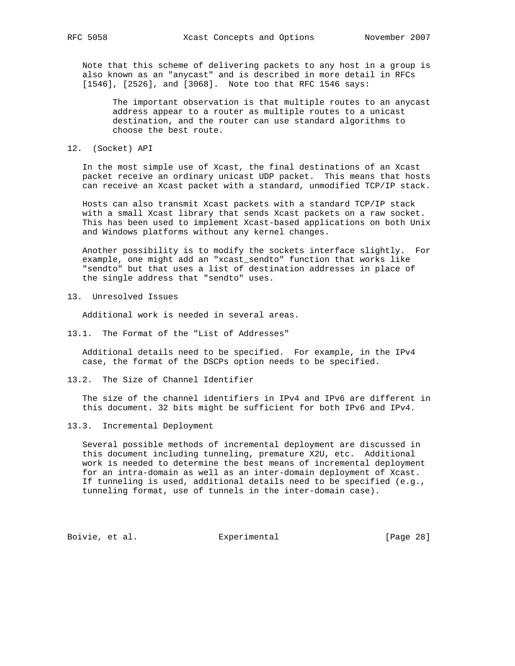Note that this scheme of delivering packets to any host in a group is also known as an "anycast" and is described in more detail in RFCs [1546], [2526], and [3068]. Note too that RFC 1546 says:

 The important observation is that multiple routes to an anycast address appear to a router as multiple routes to a unicast destination, and the router can use standard algorithms to choose the best route.

12. (Socket) API

 In the most simple use of Xcast, the final destinations of an Xcast packet receive an ordinary unicast UDP packet. This means that hosts can receive an Xcast packet with a standard, unmodified TCP/IP stack.

 Hosts can also transmit Xcast packets with a standard TCP/IP stack with a small Xcast library that sends Xcast packets on a raw socket. This has been used to implement Xcast-based applications on both Unix and Windows platforms without any kernel changes.

 Another possibility is to modify the sockets interface slightly. For example, one might add an "xcast\_sendto" function that works like "sendto" but that uses a list of destination addresses in place of the single address that "sendto" uses.

13. Unresolved Issues

Additional work is needed in several areas.

13.1. The Format of the "List of Addresses"

 Additional details need to be specified. For example, in the IPv4 case, the format of the DSCPs option needs to be specified.

13.2. The Size of Channel Identifier

 The size of the channel identifiers in IPv4 and IPv6 are different in this document. 32 bits might be sufficient for both IPv6 and IPv4.

13.3. Incremental Deployment

 Several possible methods of incremental deployment are discussed in this document including tunneling, premature X2U, etc. Additional work is needed to determine the best means of incremental deployment for an intra-domain as well as an inter-domain deployment of Xcast. If tunneling is used, additional details need to be specified (e.g., tunneling format, use of tunnels in the inter-domain case).

Boivie, et al. <br>Experimental [Page 28]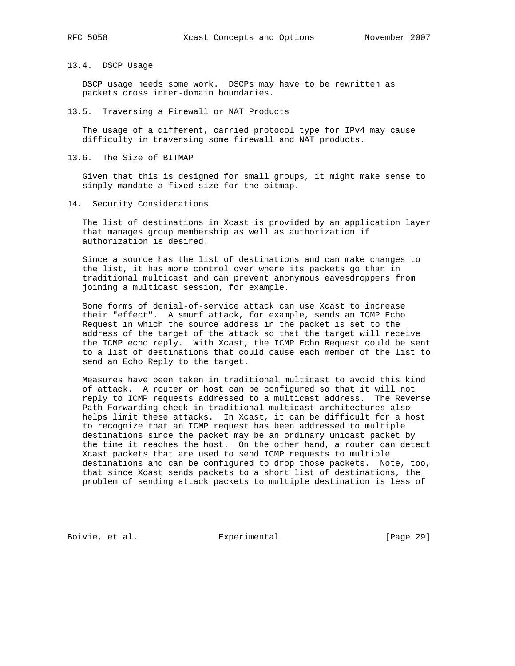### 13.4. DSCP Usage

 DSCP usage needs some work. DSCPs may have to be rewritten as packets cross inter-domain boundaries.

13.5. Traversing a Firewall or NAT Products

 The usage of a different, carried protocol type for IPv4 may cause difficulty in traversing some firewall and NAT products.

13.6. The Size of BITMAP

 Given that this is designed for small groups, it might make sense to simply mandate a fixed size for the bitmap.

14. Security Considerations

 The list of destinations in Xcast is provided by an application layer that manages group membership as well as authorization if authorization is desired.

 Since a source has the list of destinations and can make changes to the list, it has more control over where its packets go than in traditional multicast and can prevent anonymous eavesdroppers from joining a multicast session, for example.

 Some forms of denial-of-service attack can use Xcast to increase their "effect". A smurf attack, for example, sends an ICMP Echo Request in which the source address in the packet is set to the address of the target of the attack so that the target will receive the ICMP echo reply. With Xcast, the ICMP Echo Request could be sent to a list of destinations that could cause each member of the list to send an Echo Reply to the target.

 Measures have been taken in traditional multicast to avoid this kind of attack. A router or host can be configured so that it will not reply to ICMP requests addressed to a multicast address. The Reverse Path Forwarding check in traditional multicast architectures also helps limit these attacks. In Xcast, it can be difficult for a host to recognize that an ICMP request has been addressed to multiple destinations since the packet may be an ordinary unicast packet by the time it reaches the host. On the other hand, a router can detect Xcast packets that are used to send ICMP requests to multiple destinations and can be configured to drop those packets. Note, too, that since Xcast sends packets to a short list of destinations, the problem of sending attack packets to multiple destination is less of

Boivie, et al. <br>Experimental [Page 29]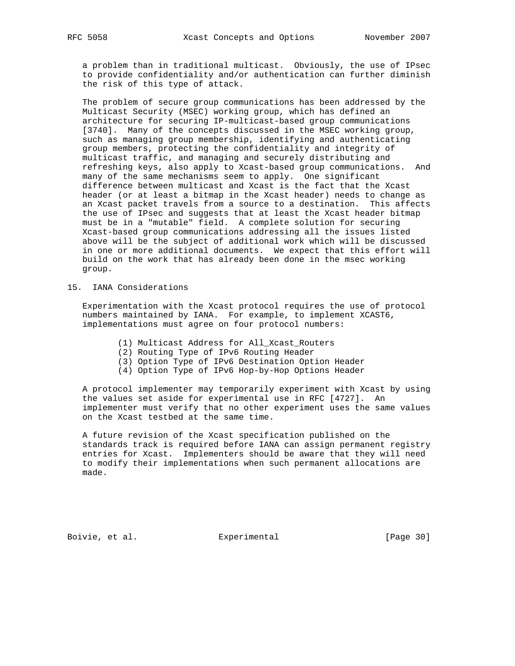a problem than in traditional multicast. Obviously, the use of IPsec to provide confidentiality and/or authentication can further diminish the risk of this type of attack.

 The problem of secure group communications has been addressed by the Multicast Security (MSEC) working group, which has defined an architecture for securing IP-multicast-based group communications [3740]. Many of the concepts discussed in the MSEC working group, such as managing group membership, identifying and authenticating group members, protecting the confidentiality and integrity of multicast traffic, and managing and securely distributing and refreshing keys, also apply to Xcast-based group communications. And many of the same mechanisms seem to apply. One significant difference between multicast and Xcast is the fact that the Xcast header (or at least a bitmap in the Xcast header) needs to change as an Xcast packet travels from a source to a destination. This affects the use of IPsec and suggests that at least the Xcast header bitmap must be in a "mutable" field. A complete solution for securing Xcast-based group communications addressing all the issues listed above will be the subject of additional work which will be discussed in one or more additional documents. We expect that this effort will build on the work that has already been done in the msec working group.

# 15. IANA Considerations

 Experimentation with the Xcast protocol requires the use of protocol numbers maintained by IANA. For example, to implement XCAST6, implementations must agree on four protocol numbers:

- (1) Multicast Address for All\_Xcast\_Routers
- (2) Routing Type of IPv6 Routing Header
- (3) Option Type of IPv6 Destination Option Header
- (4) Option Type of IPv6 Hop-by-Hop Options Header

 A protocol implementer may temporarily experiment with Xcast by using the values set aside for experimental use in RFC [4727]. An implementer must verify that no other experiment uses the same values on the Xcast testbed at the same time.

 A future revision of the Xcast specification published on the standards track is required before IANA can assign permanent registry entries for Xcast. Implementers should be aware that they will need to modify their implementations when such permanent allocations are made.

Boivie, et al. <br>Experimental [Page 30]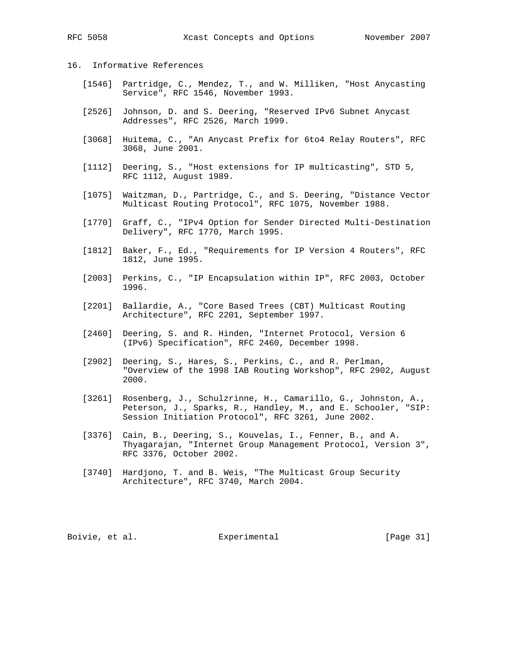# 16. Informative References

- [1546] Partridge, C., Mendez, T., and W. Milliken, "Host Anycasting Service", RFC 1546, November 1993.
- [2526] Johnson, D. and S. Deering, "Reserved IPv6 Subnet Anycast Addresses", RFC 2526, March 1999.
- [3068] Huitema, C., "An Anycast Prefix for 6to4 Relay Routers", RFC 3068, June 2001.
- [1112] Deering, S., "Host extensions for IP multicasting", STD 5, RFC 1112, August 1989.
- [1075] Waitzman, D., Partridge, C., and S. Deering, "Distance Vector Multicast Routing Protocol", RFC 1075, November 1988.
- [1770] Graff, C., "IPv4 Option for Sender Directed Multi-Destination Delivery", RFC 1770, March 1995.
- [1812] Baker, F., Ed., "Requirements for IP Version 4 Routers", RFC 1812, June 1995.
- [2003] Perkins, C., "IP Encapsulation within IP", RFC 2003, October 1996.
- [2201] Ballardie, A., "Core Based Trees (CBT) Multicast Routing Architecture", RFC 2201, September 1997.
- [2460] Deering, S. and R. Hinden, "Internet Protocol, Version 6 (IPv6) Specification", RFC 2460, December 1998.
- [2902] Deering, S., Hares, S., Perkins, C., and R. Perlman, "Overview of the 1998 IAB Routing Workshop", RFC 2902, August 2000.
- [3261] Rosenberg, J., Schulzrinne, H., Camarillo, G., Johnston, A., Peterson, J., Sparks, R., Handley, M., and E. Schooler, "SIP: Session Initiation Protocol", RFC 3261, June 2002.
- [3376] Cain, B., Deering, S., Kouvelas, I., Fenner, B., and A. Thyagarajan, "Internet Group Management Protocol, Version 3", RFC 3376, October 2002.
- [3740] Hardjono, T. and B. Weis, "The Multicast Group Security Architecture", RFC 3740, March 2004.

Boivie, et al. Subsection Experimental Frage 211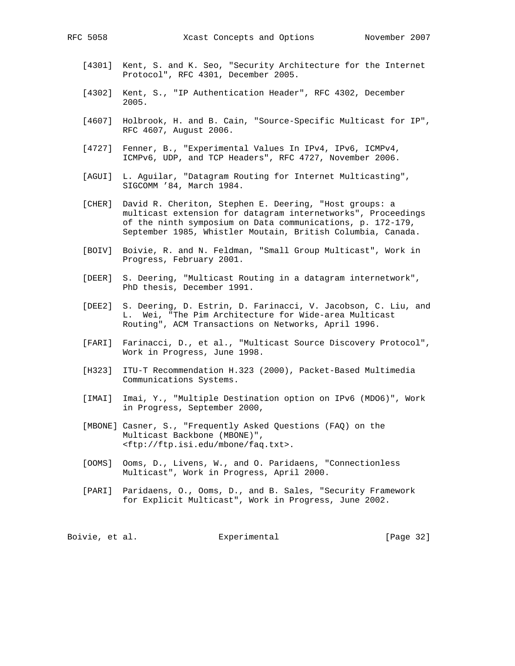- [4301] Kent, S. and K. Seo, "Security Architecture for the Internet Protocol", RFC 4301, December 2005.
- [4302] Kent, S., "IP Authentication Header", RFC 4302, December 2005.
- [4607] Holbrook, H. and B. Cain, "Source-Specific Multicast for IP", RFC 4607, August 2006.
- [4727] Fenner, B., "Experimental Values In IPv4, IPv6, ICMPv4, ICMPv6, UDP, and TCP Headers", RFC 4727, November 2006.
- [AGUI] L. Aguilar, "Datagram Routing for Internet Multicasting", SIGCOMM '84, March 1984.
- [CHER] David R. Cheriton, Stephen E. Deering, "Host groups: a multicast extension for datagram internetworks", Proceedings of the ninth symposium on Data communications, p. 172-179, September 1985, Whistler Moutain, British Columbia, Canada.
- [BOIV] Boivie, R. and N. Feldman, "Small Group Multicast", Work in Progress, February 2001.
- [DEER] S. Deering, "Multicast Routing in a datagram internetwork", PhD thesis, December 1991.
- [DEE2] S. Deering, D. Estrin, D. Farinacci, V. Jacobson, C. Liu, and L. Wei, "The Pim Architecture for Wide-area Multicast Routing", ACM Transactions on Networks, April 1996.
- [FARI] Farinacci, D., et al., "Multicast Source Discovery Protocol", Work in Progress, June 1998.
- [H323] ITU-T Recommendation H.323 (2000), Packet-Based Multimedia Communications Systems.
- [IMAI] Imai, Y., "Multiple Destination option on IPv6 (MDO6)", Work in Progress, September 2000,
- [MBONE] Casner, S., "Frequently Asked Questions (FAQ) on the Multicast Backbone (MBONE)", <ftp://ftp.isi.edu/mbone/faq.txt>.
- [OOMS] Ooms, D., Livens, W., and O. Paridaens, "Connectionless Multicast", Work in Progress, April 2000.
- [PARI] Paridaens, O., Ooms, D., and B. Sales, "Security Framework for Explicit Multicast", Work in Progress, June 2002.

| [Page 32]<br>Boivie, et al.<br>Experimental |  |
|---------------------------------------------|--|
|---------------------------------------------|--|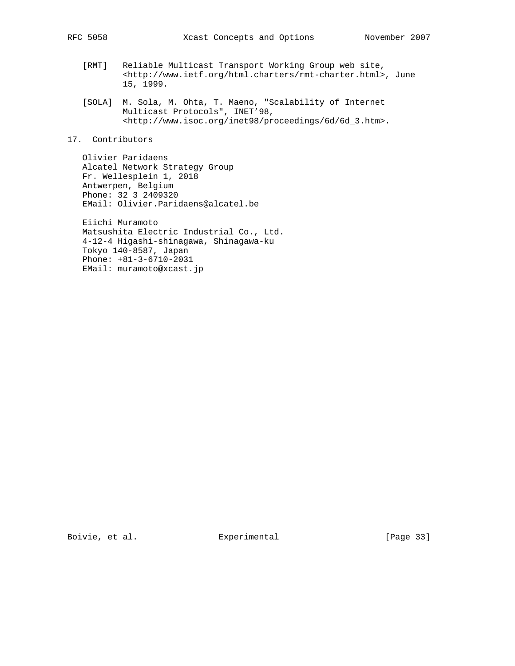- [RMT] Reliable Multicast Transport Working Group web site, <http://www.ietf.org/html.charters/rmt-charter.html>, June 15, 1999.
- [SOLA] M. Sola, M. Ohta, T. Maeno, "Scalability of Internet Multicast Protocols", INET'98, <http://www.isoc.org/inet98/proceedings/6d/6d\_3.htm>.
- 17. Contributors

 Olivier Paridaens Alcatel Network Strategy Group Fr. Wellesplein 1, 2018 Antwerpen, Belgium Phone: 32 3 2409320 EMail: Olivier.Paridaens@alcatel.be

 Eiichi Muramoto Matsushita Electric Industrial Co., Ltd. 4-12-4 Higashi-shinagawa, Shinagawa-ku Tokyo 140-8587, Japan Phone: +81-3-6710-2031 EMail: muramoto@xcast.jp

Boivie, et al. Subsection Experimental Experimental [Page 33]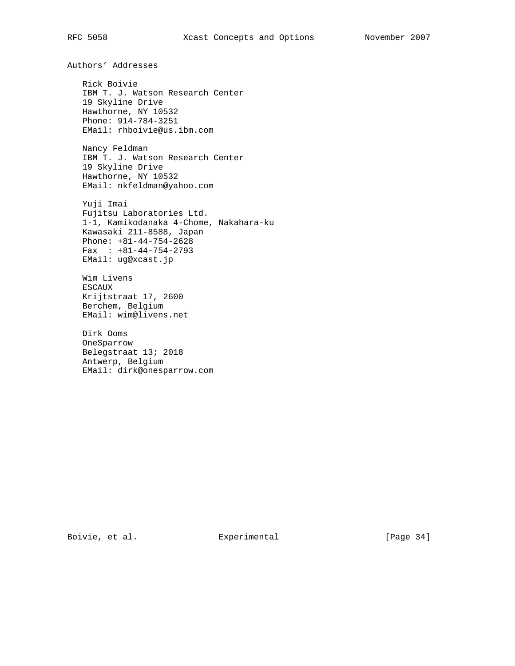Authors' Addresses Rick Boivie IBM T. J. Watson Research Center 19 Skyline Drive Hawthorne, NY 10532 Phone: 914-784-3251 EMail: rhboivie@us.ibm.com Nancy Feldman IBM T. J. Watson Research Center 19 Skyline Drive Hawthorne, NY 10532 EMail: nkfeldman@yahoo.com Yuji Imai Fujitsu Laboratories Ltd. 1-1, Kamikodanaka 4-Chome, Nakahara-ku Kawasaki 211-8588, Japan Phone: +81-44-754-2628 Fax : +81-44-754-2793 EMail: ug@xcast.jp Wim Livens ESCAUX Krijtstraat 17, 2600 Berchem, Belgium EMail: wim@livens.net

 Dirk Ooms OneSparrow Belegstraat 13; 2018 Antwerp, Belgium EMail: dirk@onesparrow.com

Boivie, et al. Superimental Experimental [Page 34]